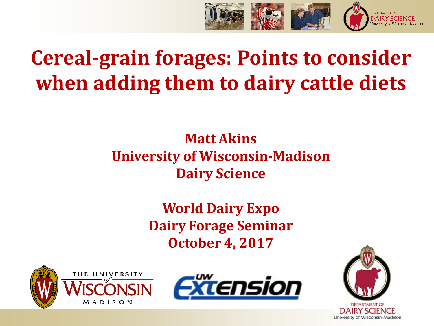

# **Cereal-grain forages: Points to consider when adding them to dairy cattle diets**

#### **Matt Akins University of Wisconsin-Madison Dairy Science**

**World Dairy Expo Dairy Forage Seminar October 4, 2017**







DAIRY SCIENCE University of Wisconsin-Madison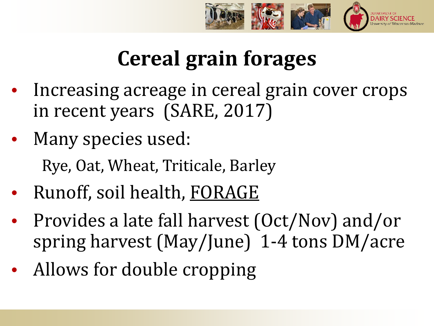

# **Cereal grain forages**

- Increasing acreage in cereal grain cover crops in recent years (SARE, 2017)
- Many species used: Rye, Oat, Wheat, Triticale, Barley
- Runoff, soil health, FORAGE
- Provides a late fall harvest (Oct/Nov) and/or spring harvest (May/June) 1-4 tons DM/acre
- Allows for double cropping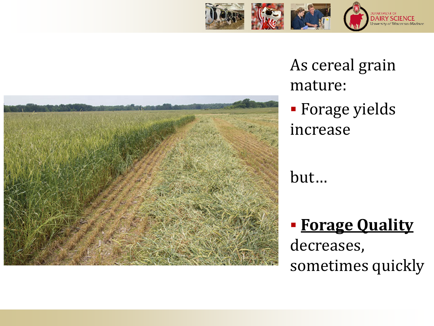



As cereal grain mature:

 Forage yields increase

but…

 **Forage Quality**  decreases, sometimes quickly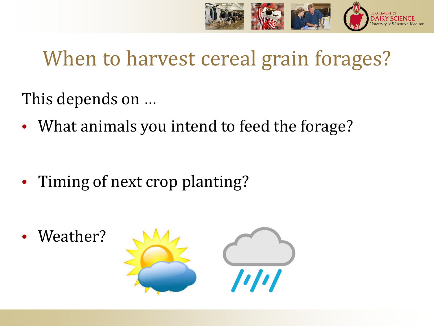

## When to harvest cereal grain forages?

This depends on …

• What animals you intend to feed the forage?

• Timing of next crop planting?

Weather?

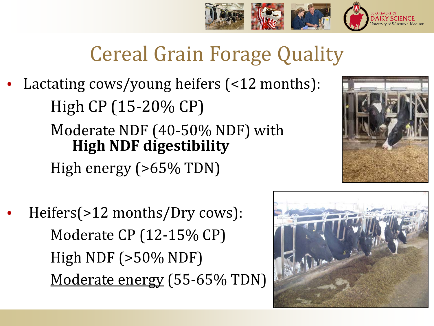

# Cereal Grain Forage Quality

Lactating cows/young heifers (<12 months): High CP (15-20% CP) Moderate NDF (40-50% NDF) with **High NDF digestibility** High energy (>65% TDN)



• Heifers(>12 months/Dry cows): Moderate CP (12-15% CP) High NDF (>50% NDF) Moderate energy (55-65% TDN)

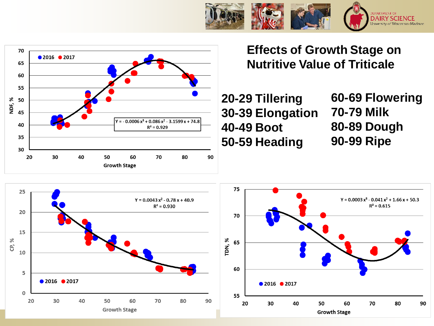





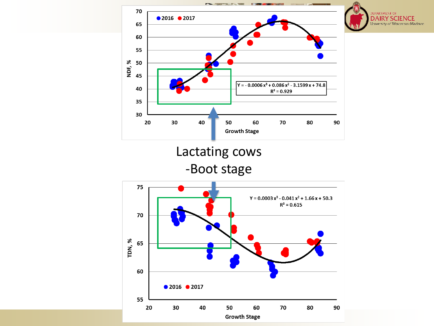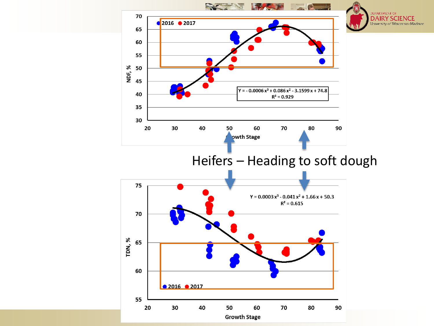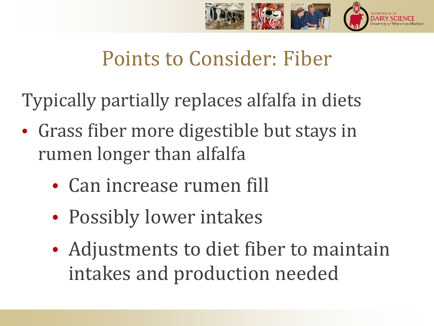

## Points to Consider: Fiber

Typically partially replaces alfalfa in diets

- Grass fiber more digestible but stays in rumen longer than alfalfa
	- Can increase rumen fill
	- Possibly lower intakes
	- Adjustments to diet fiber to maintain intakes and production needed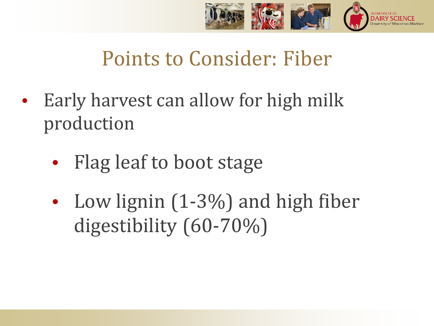

## Points to Consider: Fiber

- Early harvest can allow for high milk production
	- Flag leaf to boot stage
	- Low lignin (1-3%) and high fiber digestibility (60-70%)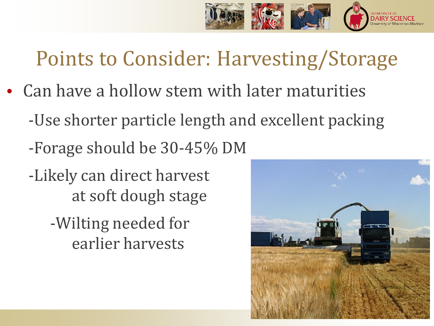

# Points to Consider: Harvesting/Storage

- Can have a hollow stem with later maturities
	- -Use shorter particle length and excellent packing
	- -Forage should be 30-45% DM
	- -Likely can direct harvest at soft dough stage
		- -Wilting needed for earlier harvests

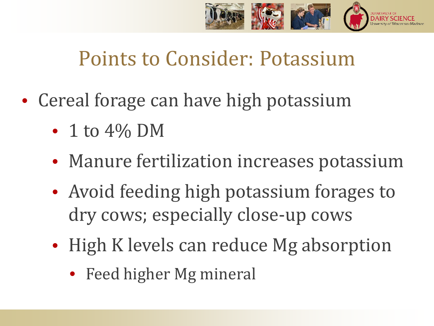

#### Points to Consider: Potassium

- Cereal forage can have high potassium
	- $\bullet$  1 to 4% DM
	- Manure fertilization increases potassium
	- Avoid feeding high potassium forages to dry cows; especially close-up cows
	- High K levels can reduce Mg absorption
		- Feed higher Mg mineral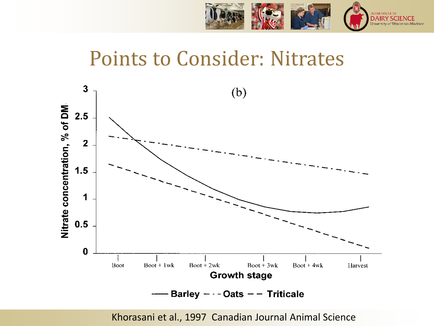

#### Points to Consider: Nitrates



Khorasani et al., 1997 Canadian Journal Animal Science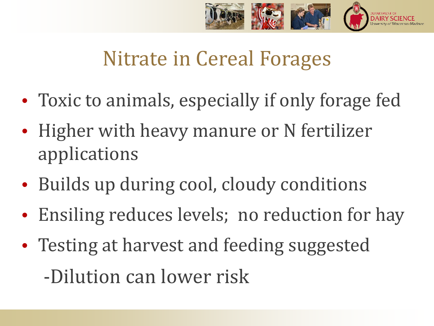

#### Nitrate in Cereal Forages

- Toxic to animals, especially if only forage fed
- Higher with heavy manure or N fertilizer applications
- Builds up during cool, cloudy conditions
- Ensiling reduces levels; no reduction for hay
- Testing at harvest and feeding suggested -Dilution can lower risk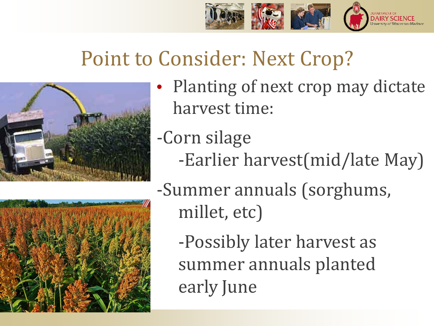

## Point to Consider: Next Crop?



- Planting of next crop may dictate harvest time:
- -Corn silage
	- -Earlier harvest(mid/late May)



-Summer annuals (sorghums, millet, etc)

-Possibly later harvest as summer annuals planted early June